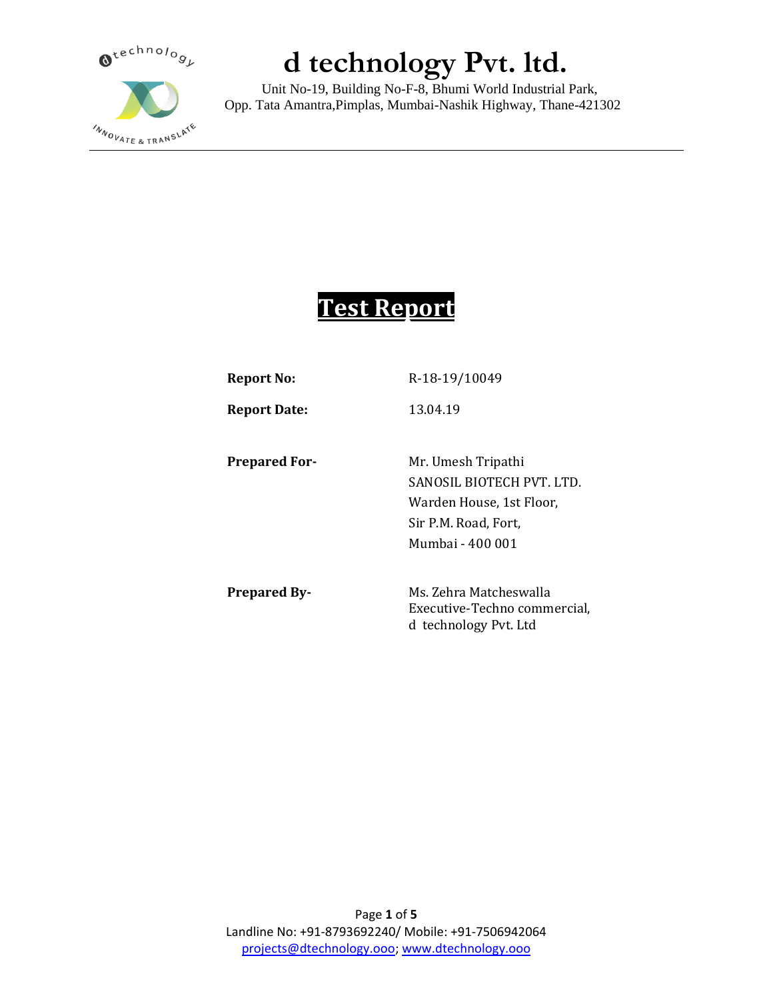

 Unit No-19, Building No-F-8, Bhumi World Industrial Park, Opp. Tata Amantra,Pimplas, Mumbai-Nashik Highway, Thane-421302

### **Test Report**

| <b>Report No:</b>    | R-18-19/10049                |
|----------------------|------------------------------|
| <b>Report Date:</b>  | 13.04.19                     |
| <b>Prepared For-</b> | Mr. Umesh Tripathi           |
|                      | SANOSIL BIOTECH PVT. LTD.    |
|                      | Warden House, 1st Floor,     |
|                      | Sir P.M. Road, Fort,         |
|                      | Mumbai - 400 001             |
| <b>Prepared By-</b>  | Ms. Zehra Matcheswalla       |
|                      | Executive-Techno commercial, |
|                      | d technology Pvt. Ltd        |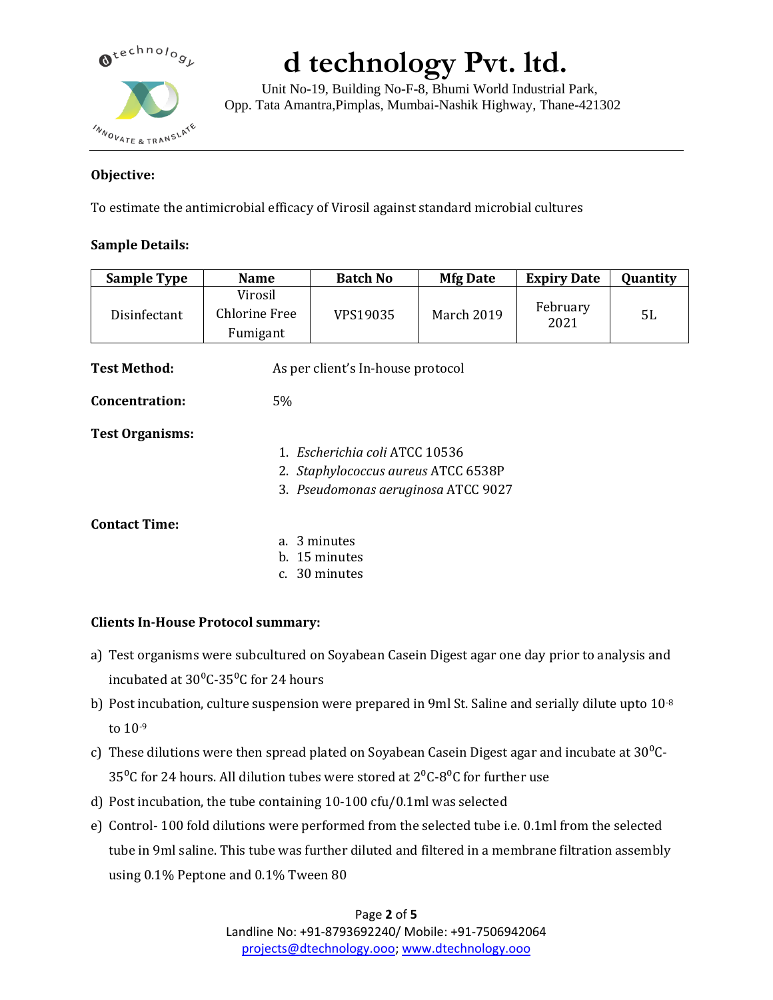

 Unit No-19, Building No-F-8, Bhumi World Industrial Park, Opp. Tata Amantra,Pimplas, Mumbai-Nashik Highway, Thane-421302

### **Objective:**

To estimate the antimicrobial efficacy of Virosil against standard microbial cultures

### **Sample Details:**

| <b>Sample Type</b>     | <b>Name</b>                                 | <b>Batch No</b>                     | <b>Mfg Date</b> | <b>Expiry Date</b> | Quantity |  |  |  |
|------------------------|---------------------------------------------|-------------------------------------|-----------------|--------------------|----------|--|--|--|
| Disinfectant           | Virosil<br><b>Chlorine Free</b><br>Fumigant | VPS19035                            | March 2019      | February<br>2021   | 5L       |  |  |  |
| <b>Test Method:</b>    |                                             | As per client's In-house protocol   |                 |                    |          |  |  |  |
| <b>Concentration:</b>  | $5\%$                                       |                                     |                 |                    |          |  |  |  |
| <b>Test Organisms:</b> |                                             |                                     |                 |                    |          |  |  |  |
|                        |                                             | 1. Escherichia coli ATCC 10536      |                 |                    |          |  |  |  |
|                        | 2. Staphylococcus aureus ATCC 6538P         |                                     |                 |                    |          |  |  |  |
|                        |                                             | 3. Pseudomonas aeruginosa ATCC 9027 |                 |                    |          |  |  |  |
| <b>Contact Time:</b>   |                                             |                                     |                 |                    |          |  |  |  |
|                        |                                             | a. 3 minutes                        |                 |                    |          |  |  |  |
|                        |                                             | b. 15 minutes<br>c. 30 minutes      |                 |                    |          |  |  |  |
|                        |                                             |                                     |                 |                    |          |  |  |  |

### **Clients In-House Protocol summary:**

- a) Test organisms were subcultured on Soyabean Casein Digest agar one day prior to analysis and incubated at  $30^{\circ}$ C-35<sup>o</sup>C for 24 hours
- b) Post incubation, culture suspension were prepared in 9ml St. Saline and serially dilute upto  $10^{-8}$ to 10-9
- c) These dilutions were then spread plated on Soyabean Casein Digest agar and incubate at  $30^{\circ}$ C-35<sup>o</sup>C for 24 hours. All dilution tubes were stored at  $2^{0}$ C-8<sup>o</sup>C for further use
- d) Post incubation, the tube containing 10-100 cfu/0.1ml was selected
- e) Control- 100 fold dilutions were performed from the selected tube i.e. 0.1ml from the selected tube in 9ml saline. This tube was further diluted and filtered in a membrane filtration assembly using 0.1% Peptone and 0.1% Tween 80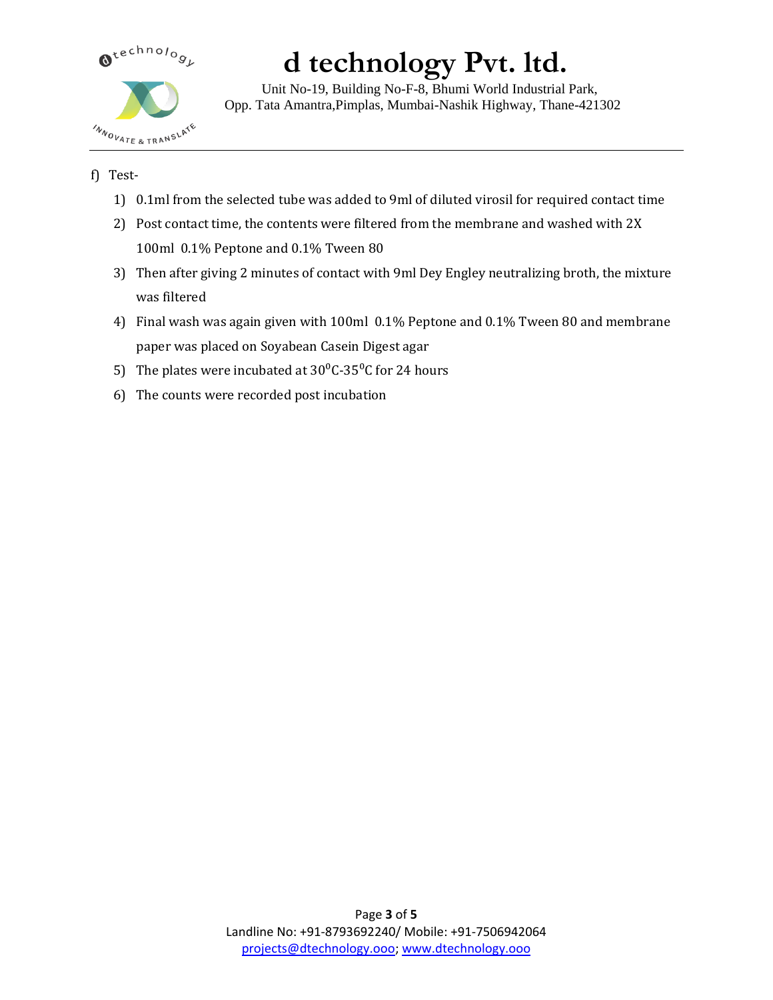

 Unit No-19, Building No-F-8, Bhumi World Industrial Park, Opp. Tata Amantra,Pimplas, Mumbai-Nashik Highway, Thane-421302

### f) Test-

- 1) 0.1ml from the selected tube was added to 9ml of diluted virosil for required contact time
- 2) Post contact time, the contents were filtered from the membrane and washed with 2X 100ml 0.1% Peptone and 0.1% Tween 80
- 3) Then after giving 2 minutes of contact with 9ml Dey Engley neutralizing broth, the mixture was filtered
- 4) Final wash was again given with 100ml 0.1% Peptone and 0.1% Tween 80 and membrane paper was placed on Soyabean Casein Digest agar
- 5) The plates were incubated at  $30^{\circ}$ C-35<sup>o</sup>C for 24 hours
- 6) The counts were recorded post incubation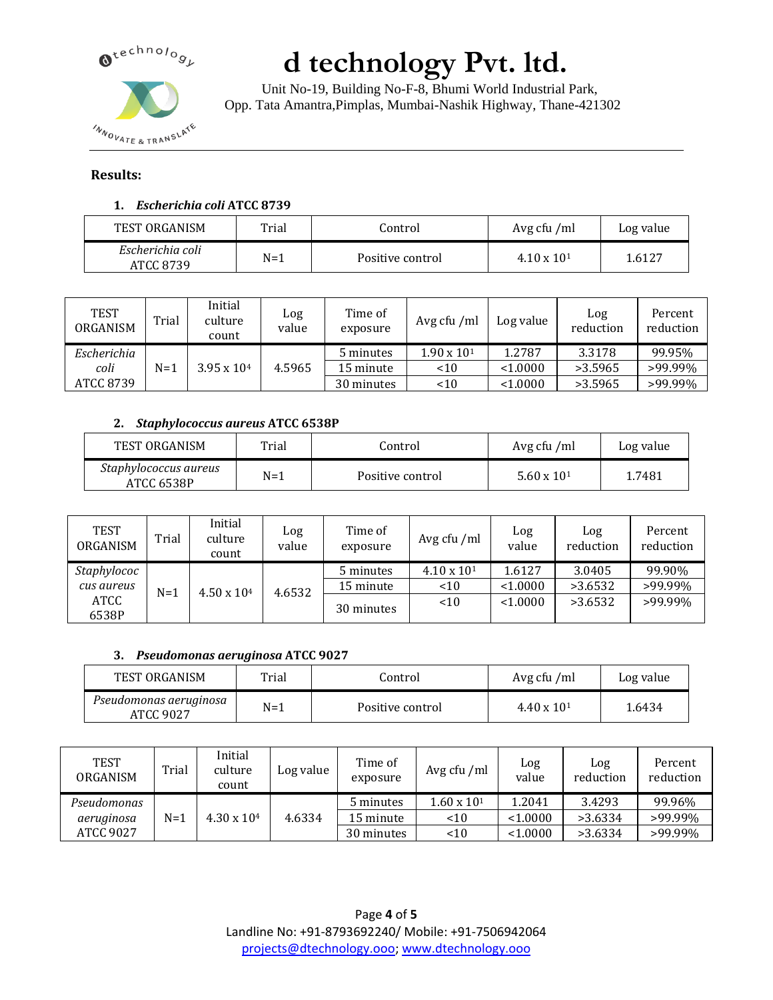

 Unit No-19, Building No-F-8, Bhumi World Industrial Park, Opp. Tata Amantra,Pimplas, Mumbai-Nashik Highway, Thane-421302

### **Results:**

### **1.** *Escherichia coli* **ATCC 8739**

| TEST ORGANISM                 | Trial | Control          | Avg cfu /ml          | Log value |
|-------------------------------|-------|------------------|----------------------|-----------|
| Escherichia coli<br>ATCC 8739 | $N=1$ | Positive control | $4.10 \times 10^{1}$ | 1.6127    |

| <b>TEST</b><br>ORGANISM | Trial | Initial<br>culture<br>count | Log<br>value | Time of<br>exposure | Avg cfu /ml          | Log value | Log<br>reduction | Percent<br>reduction |
|-------------------------|-------|-----------------------------|--------------|---------------------|----------------------|-----------|------------------|----------------------|
| Escherichia             |       |                             |              | 5 minutes           | $1.90 \times 10^{1}$ | 1.2787    | 3.3178           | 99.95%               |
| coli                    | N=1   | $3.95 \times 10^{4}$        | 4.5965       | 15 minute           | ~10                  | < 1.0000  | >3.5965          | >99.99%              |
| ATCC 8739               |       |                             |              | 30 minutes          | < 10                 | < 1.0000  | >3.5965          | >99.99%              |

### **2.** *Staphylococcus aureus* **ATCC 6538P**

| TEST ORGANISM                       | $T$ rial | Control          | Avg cfu /ml          | Log value |
|-------------------------------------|----------|------------------|----------------------|-----------|
| Staphylococcus aureus<br>ATCC 6538P | $N=1$    | Positive control | $5.60 \times 10^{1}$ | 1.7481    |

| <b>TEST</b><br>ORGANISM | Trial | Initial<br>culture<br>count | Log<br>value | Time of<br>exposure | Avg cfu /ml          | Log<br>value | Log<br>reduction | Percent<br>reduction |
|-------------------------|-------|-----------------------------|--------------|---------------------|----------------------|--------------|------------------|----------------------|
| Staphylococ             |       |                             |              | 5 minutes           | $4.10 \times 10^{1}$ | 1.6127       | 3.0405           | 99.90%               |
| cus aureus              | $N=1$ | $4.50 \times 10^{4}$        | 4.6532       | 15 minute           | ~10                  | < 1.0000     | >3.6532          | >99.99%              |
| ATCC                    |       |                             |              | 30 minutes          | < 10                 | < 1.0000     | >3.6532          | >99.99%              |
| 6538P                   |       |                             |              |                     |                      |              |                  |                      |

#### **3.** *Pseudomonas aeruginosa* **ATCC 9027**

| TEST ORGANISM                       | Trial | Control          | Avg cfu /ml          | Log value |
|-------------------------------------|-------|------------------|----------------------|-----------|
| Pseudomonas aeruginosa<br>ATCC 9027 | $N=1$ | Positive control | $4.40 \times 10^{1}$ | 1.6434    |

| TEST<br>ORGANISM | Trial | Initial<br>culture<br>count | Log value | Time of<br>exposure | Avg cfu /ml          | Log<br>value | Log<br>reduction | Percent<br>reduction |
|------------------|-------|-----------------------------|-----------|---------------------|----------------------|--------------|------------------|----------------------|
| Pseudomonas      |       |                             |           | 5 minutes           | $1.60 \times 10^{1}$ | 1.2041       | 3.4293           | 99.96%               |
| aeruginosa       | $N=1$ | $4.30 \times 10^{4}$        | 4.6334    | 15 minute           | < 10                 | < 1.0000     | >3.6334          | >99.99%              |
| ATCC 9027        |       |                             |           | 30 minutes          | < 10                 | < 1.0000     | >3.6334          | >99.99%              |